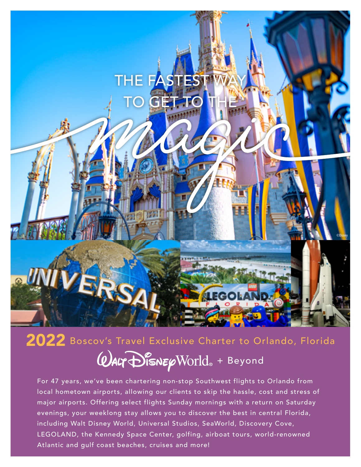

2022 Boscov's Travel Exclusive Charter to Orlando, Florida

World. + Beyond

For 47 years, we've been chartering non-stop Southwest flights to Orlando from local hometown airports, allowing our clients to skip the hassle, cost and stress of major airports. Offering select flights Sunday mornings with a return on Saturday evenings, your weeklong stay allows you to discover the best in central Florida, including Walt Disney World, Universal Studios, SeaWorld, Discovery Cove, LEGOLAND, the Kennedy Space Center, golfing, airboat tours, world-renowned Atlantic and gulf coast beaches, cruises and more!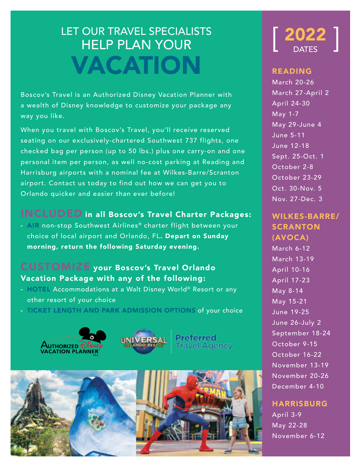# VACATION LET OUR TRAVEL SPECIALISTS **HELP PLAN YOUR**

Boscov's Travel is an Authorized Disney Vacation Planner with a wealth of Disney knowledge to customize your package any way you like.

When you travel with Boscov's Travel, you'll receive reserved seating on our exclusively-chartered Southwest 737 flights, one checked bag per person (up to 50 lbs.) plus one carry-on and one personal item per person, as well no-cost parking at Reading and Harrisburg airports with a nominal fee at Wilkes-Barre/Scranton airport. Contact us today to find out how we can get you to Orlando quicker and easier than ever before!

# INCLUDED in all Boscov's Travel Charter Packages:

- AIR non-stop Southwest Airlines® charter flight between your choice of local airport and Orlando, FL. Depart on Sunday morning, return the following Saturday evening.

## CUSTOMIZE your Boscov's Travel Orlando Vacation Package with any of the following:

- HOTEL Accommodations at a Walt Disney World© Resort or any other resort of your choice
- TICKET LENGTH AND PARK ADMISSION OPTIONS of your choice









# DATES

#### READING

March 20-26 March 27-April 2 April 24-30 May 1-7 May 29-June 4 June 5-11 June 12-18 Sept. 25-Oct. 1 October 2-8 October 23-29 Oct. 30-Nov. 5 Nov. 27-Dec. 3

### WILKES-BARRE/ **SCRANTON** (AVOCA)

March 6-12 March 13-19 April 10-16 April 17-23 May 8-14 May 15-21 June 19-25 June 26-July 2 September 18-24 October 9-15 October 16-22 November 13-19 November 20-26 December 4-10

#### **HARRISBURG**

April 3-9 May 22-28 November 6-12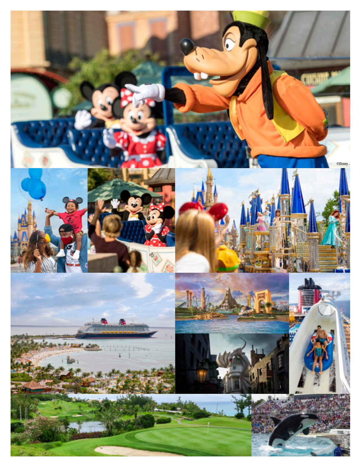